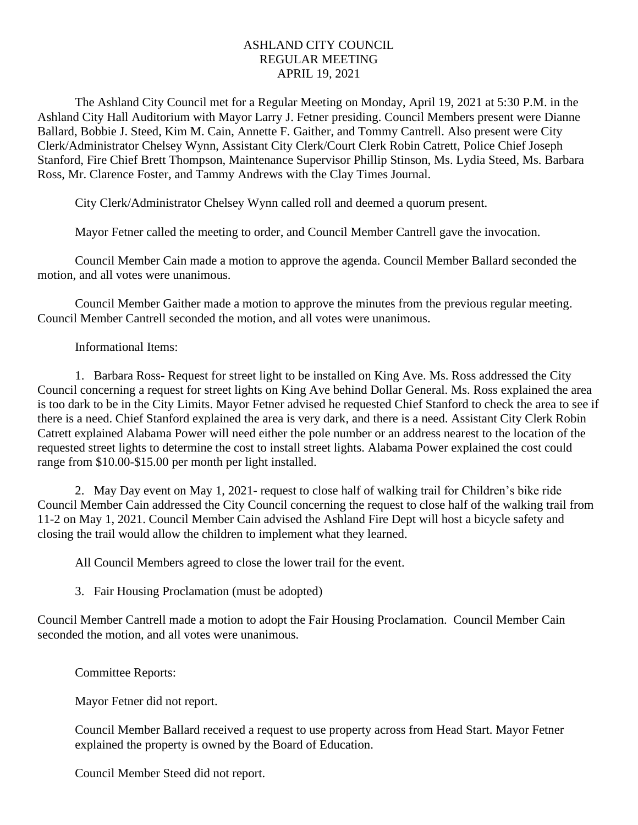## ASHLAND CITY COUNCIL REGULAR MEETING APRIL 19, 2021

The Ashland City Council met for a Regular Meeting on Monday, April 19, 2021 at 5:30 P.M. in the Ashland City Hall Auditorium with Mayor Larry J. Fetner presiding. Council Members present were Dianne Ballard, Bobbie J. Steed, Kim M. Cain, Annette F. Gaither, and Tommy Cantrell. Also present were City Clerk/Administrator Chelsey Wynn, Assistant City Clerk/Court Clerk Robin Catrett, Police Chief Joseph Stanford, Fire Chief Brett Thompson, Maintenance Supervisor Phillip Stinson, Ms. Lydia Steed, Ms. Barbara Ross, Mr. Clarence Foster, and Tammy Andrews with the Clay Times Journal.

City Clerk/Administrator Chelsey Wynn called roll and deemed a quorum present.

Mayor Fetner called the meeting to order, and Council Member Cantrell gave the invocation.

Council Member Cain made a motion to approve the agenda. Council Member Ballard seconded the motion, and all votes were unanimous.

Council Member Gaither made a motion to approve the minutes from the previous regular meeting. Council Member Cantrell seconded the motion, and all votes were unanimous.

Informational Items:

1. Barbara Ross- Request for street light to be installed on King Ave. Ms. Ross addressed the City Council concerning a request for street lights on King Ave behind Dollar General. Ms. Ross explained the area is too dark to be in the City Limits. Mayor Fetner advised he requested Chief Stanford to check the area to see if there is a need. Chief Stanford explained the area is very dark, and there is a need. Assistant City Clerk Robin Catrett explained Alabama Power will need either the pole number or an address nearest to the location of the requested street lights to determine the cost to install street lights. Alabama Power explained the cost could range from \$10.00-\$15.00 per month per light installed.

2. May Day event on May 1, 2021- request to close half of walking trail for Children's bike ride Council Member Cain addressed the City Council concerning the request to close half of the walking trail from 11-2 on May 1, 2021. Council Member Cain advised the Ashland Fire Dept will host a bicycle safety and closing the trail would allow the children to implement what they learned.

All Council Members agreed to close the lower trail for the event.

3. Fair Housing Proclamation (must be adopted)

Council Member Cantrell made a motion to adopt the Fair Housing Proclamation. Council Member Cain seconded the motion, and all votes were unanimous.

Committee Reports:

Mayor Fetner did not report.

Council Member Ballard received a request to use property across from Head Start. Mayor Fetner explained the property is owned by the Board of Education.

Council Member Steed did not report.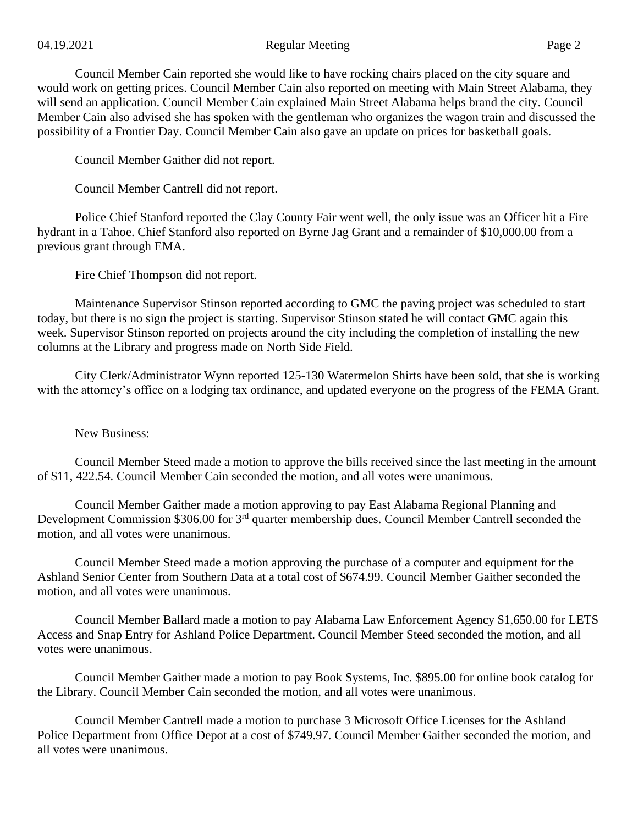## 04.19.2021 Regular Meeting Page 2

Council Member Cain reported she would like to have rocking chairs placed on the city square and would work on getting prices. Council Member Cain also reported on meeting with Main Street Alabama, they will send an application. Council Member Cain explained Main Street Alabama helps brand the city. Council Member Cain also advised she has spoken with the gentleman who organizes the wagon train and discussed the possibility of a Frontier Day. Council Member Cain also gave an update on prices for basketball goals.

Council Member Gaither did not report.

Council Member Cantrell did not report.

Police Chief Stanford reported the Clay County Fair went well, the only issue was an Officer hit a Fire hydrant in a Tahoe. Chief Stanford also reported on Byrne Jag Grant and a remainder of \$10,000.00 from a previous grant through EMA.

Fire Chief Thompson did not report.

Maintenance Supervisor Stinson reported according to GMC the paving project was scheduled to start today, but there is no sign the project is starting. Supervisor Stinson stated he will contact GMC again this week. Supervisor Stinson reported on projects around the city including the completion of installing the new columns at the Library and progress made on North Side Field.

City Clerk/Administrator Wynn reported 125-130 Watermelon Shirts have been sold, that she is working with the attorney's office on a lodging tax ordinance, and updated everyone on the progress of the FEMA Grant.

New Business:

Council Member Steed made a motion to approve the bills received since the last meeting in the amount of \$11, 422.54. Council Member Cain seconded the motion, and all votes were unanimous.

Council Member Gaither made a motion approving to pay East Alabama Regional Planning and Development Commission \$306.00 for 3<sup>rd</sup> quarter membership dues. Council Member Cantrell seconded the motion, and all votes were unanimous.

Council Member Steed made a motion approving the purchase of a computer and equipment for the Ashland Senior Center from Southern Data at a total cost of \$674.99. Council Member Gaither seconded the motion, and all votes were unanimous.

Council Member Ballard made a motion to pay Alabama Law Enforcement Agency \$1,650.00 for LETS Access and Snap Entry for Ashland Police Department. Council Member Steed seconded the motion, and all votes were unanimous.

Council Member Gaither made a motion to pay Book Systems, Inc. \$895.00 for online book catalog for the Library. Council Member Cain seconded the motion, and all votes were unanimous.

Council Member Cantrell made a motion to purchase 3 Microsoft Office Licenses for the Ashland Police Department from Office Depot at a cost of \$749.97. Council Member Gaither seconded the motion, and all votes were unanimous.